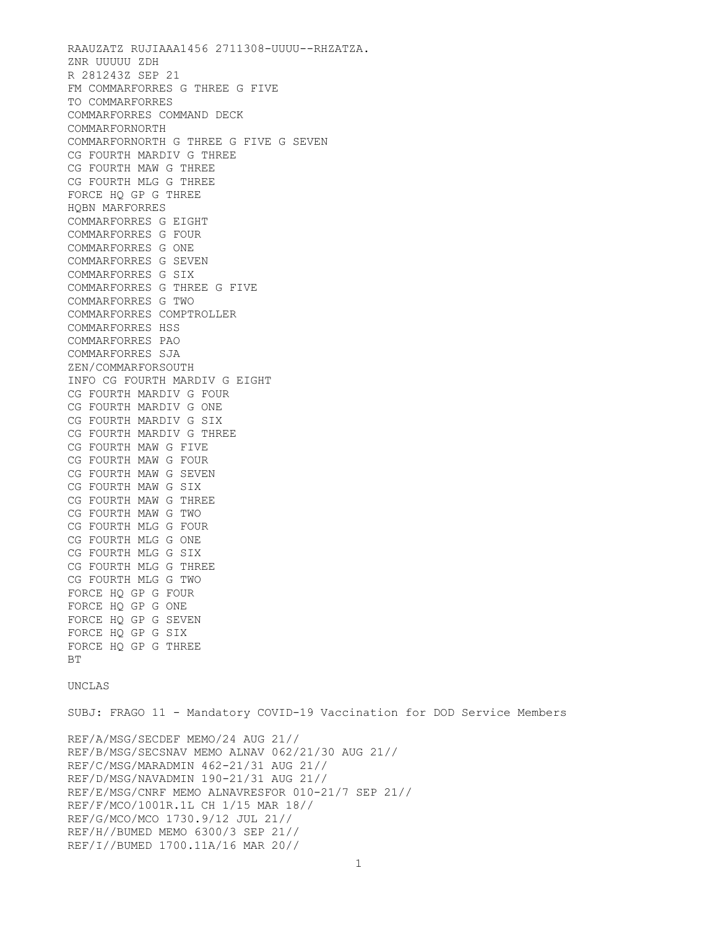RAAUZATZ RUJIAAA1456 2711308-UUUU--RHZATZA. ZNR UUUUU ZDH R 281243Z SEP 21 FM COMMARFORRES G THREE G FIVE TO COMMARFORRES COMMARFORRES COMMAND DECK COMMARFORNORTH COMMARFORNORTH G THREE G FIVE G SEVEN CG FOURTH MARDIV G THREE CG FOURTH MAW G THREE CG FOURTH MLG G THREE FORCE HQ GP G THREE HQBN MARFORRES COMMARFORRES G EIGHT COMMARFORRES G FOUR COMMARFORRES G ONE COMMARFORRES G SEVEN COMMARFORRES G SIX COMMARFORRES G THREE G FIVE COMMARFORRES G TWO COMMARFORRES COMPTROLLER COMMARFORRES HSS COMMARFORRES PAO COMMARFORRES SJA ZEN/COMMARFORSOUTH INFO CG FOURTH MARDIV G EIGHT CG FOURTH MARDIV G FOUR CG FOURTH MARDIV G ONE CG FOURTH MARDIV G SIX CG FOURTH MARDIV G THREE CG FOURTH MAW G FIVE CG FOURTH MAW G FOUR CG FOURTH MAW G SEVEN CG FOURTH MAW G SIX CG FOURTH MAW G THREE CG FOURTH MAW G TWO CG FOURTH MLG G FOUR CG FOURTH MLG G ONE CG FOURTH MLG G SIX CG FOURTH MLG G THREE CG FOURTH MLG G TWO FORCE HQ GP G FOUR FORCE HQ GP G ONE FORCE HQ GP G SEVEN FORCE HQ GP G SIX FORCE HQ GP G THREE **BT** 

## UNCLAS

SUBJ: FRAGO 11 - Mandatory COVID-19 Vaccination for DOD Service Members

REF/A/MSG/SECDEF MEMO/24 AUG 21// REF/B/MSG/SECSNAV MEMO ALNAV 062/21/30 AUG 21// REF/C/MSG/MARADMIN 462-21/31 AUG 21// REF/D/MSG/NAVADMIN 190-21/31 AUG 21// REF/E/MSG/CNRF MEMO ALNAVRESFOR 010-21/7 SEP 21// REF/F/MCO/1001R.1L CH 1/15 MAR 18// REF/G/MCO/MCO 1730.9/12 JUL 21// REF/H//BUMED MEMO 6300/3 SEP 21// REF/I//BUMED 1700.11A/16 MAR 20//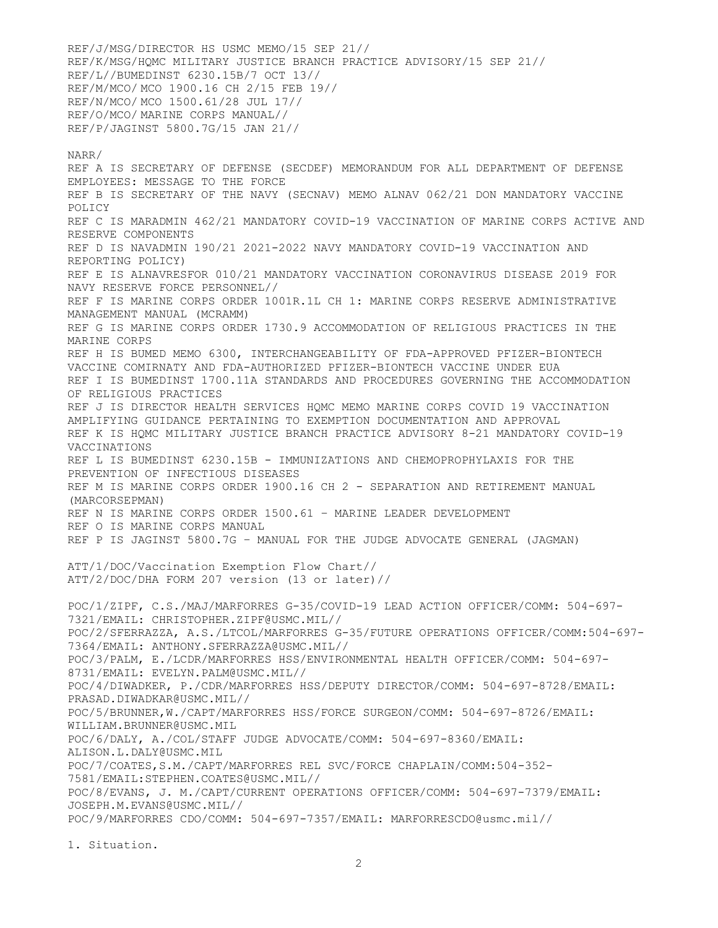REF/J/MSG/DIRECTOR HS USMC MEMO/15 SEP 21// REF/K/MSG/HQMC MILITARY JUSTICE BRANCH PRACTICE ADVISORY/15 SEP 21// REF/L//BUMEDINST 6230.15B/7 OCT 13// REF/M/MCO/ MCO 1900.16 CH 2/15 FEB 19// REF/N/MCO/ MCO 1500.61/28 JUL 17// REF/O/MCO/ MARINE CORPS MANUAL// REF/P/JAGINST 5800.7G/15 JAN 21//

## NARR/

REF A IS SECRETARY OF DEFENSE (SECDEF) MEMORANDUM FOR ALL DEPARTMENT OF DEFENSE EMPLOYEES: MESSAGE TO THE FORCE REF B IS SECRETARY OF THE NAVY (SECNAV) MEMO ALNAV 062/21 DON MANDATORY VACCINE POLICY REF C IS MARADMIN 462/21 MANDATORY COVID-19 VACCINATION OF MARINE CORPS ACTIVE AND RESERVE COMPONENTS REF D IS NAVADMIN 190/21 2021-2022 NAVY MANDATORY COVID-19 VACCINATION AND REPORTING POLICY) REF E IS ALNAVRESFOR 010/21 MANDATORY VACCINATION CORONAVIRUS DISEASE 2019 FOR NAVY RESERVE FORCE PERSONNEL// REF F IS MARINE CORPS ORDER 1001R.1L CH 1: MARINE CORPS RESERVE ADMINISTRATIVE MANAGEMENT MANUAL (MCRAMM) REF G IS MARINE CORPS ORDER 1730.9 ACCOMMODATION OF RELIGIOUS PRACTICES IN THE MARINE CORPS REF H IS BUMED MEMO 6300, INTERCHANGEABILITY OF FDA-APPROVED PFIZER-BIONTECH VACCINE COMIRNATY AND FDA-AUTHORIZED PFIZER-BIONTECH VACCINE UNDER EUA REF I IS BUMEDINST 1700.11A STANDARDS AND PROCEDURES GOVERNING THE ACCOMMODATION OF RELIGIOUS PRACTICES REF J IS DIRECTOR HEALTH SERVICES HQMC MEMO MARINE CORPS COVID 19 VACCINATION AMPLIFYING GUIDANCE PERTAINING TO EXEMPTION DOCUMENTATION AND APPROVAL REF K IS HQMC MILITARY JUSTICE BRANCH PRACTICE ADVISORY 8-21 MANDATORY COVID-19 VACCINATIONS REF L IS BUMEDINST 6230.15B - IMMUNIZATIONS AND CHEMOPROPHYLAXIS FOR THE PREVENTION OF INFECTIOUS DISEASES REF M IS MARINE CORPS ORDER 1900.16 CH 2 - SEPARATION AND RETIREMENT MANUAL (MARCORSEPMAN) REF N IS MARINE CORPS ORDER 1500.61 – MARINE LEADER DEVELOPMENT REF O IS MARINE CORPS MANUAL REF P IS JAGINST 5800.7G – MANUAL FOR THE JUDGE ADVOCATE GENERAL (JAGMAN) ATT/1/DOC/Vaccination Exemption Flow Chart// ATT/2/DOC/DHA FORM 207 version (13 or later)// POC/1/ZIPF, C.S./MAJ/MARFORRES G-35/COVID-19 LEAD ACTION OFFICER/COMM: 504-697- 7321/EMAIL: CHRISTOPHER.ZIPF@USMC.MIL// POC/2/SFERRAZZA, A.S./LTCOL/MARFORRES G-35/FUTURE OPERATIONS OFFICER/COMM:504-697- 7364/EMAIL: ANTHONY.SFERRAZZA@USMC.MIL// POC/3/PALM, E./LCDR/MARFORRES HSS/ENVIRONMENTAL HEALTH OFFICER/COMM: 504-697- 8731/EMAIL: EVELYN.PALM@USMC.MIL// POC/4/DIWADKER, P./CDR/MARFORRES HSS/DEPUTY DIRECTOR/COMM: 504-697-8728/EMAIL: PRASAD.DIWADKAR@USMC.MIL// POC/5/BRUNNER,W./CAPT/MARFORRES HSS/FORCE SURGEON/COMM: 504-697-8726/EMAIL: WILLIAM.BRUNNER@USMC.MIL POC/6/DALY, A./COL/STAFF JUDGE ADVOCATE/COMM: 504-697-8360/EMAIL: ALISON.L.DALY@USMC.MIL POC/7/COATES,S.M./CAPT/MARFORRES REL SVC/FORCE CHAPLAIN/COMM:504-352- 7581/EMAIL:STEPHEN.COATES@USMC.MIL// POC/8/EVANS, J. M./CAPT/CURRENT OPERATIONS OFFICER/COMM: 504-697-7379/EMAIL: JOSEPH.M.EVANS@USMC.MIL// POC/9/MARFORRES CDO/COMM: 504-697-7357/EMAIL: MARFORRESCDO@usmc.mil//

1. Situation.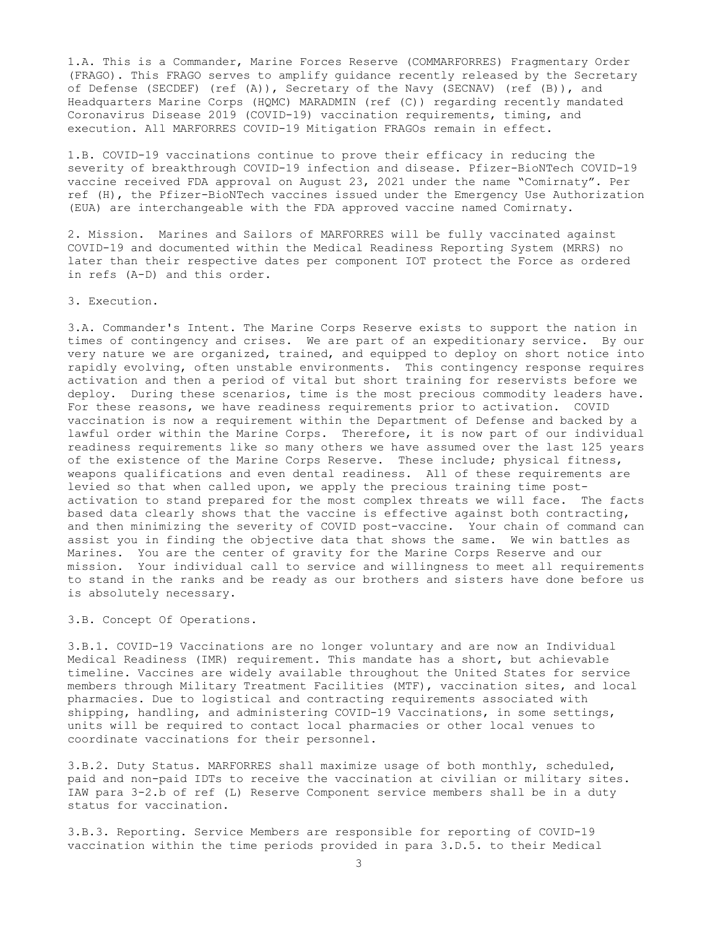1.A. This is a Commander, Marine Forces Reserve (COMMARFORRES) Fragmentary Order (FRAGO). This FRAGO serves to amplify guidance recently released by the Secretary of Defense (SECDEF) (ref (A)), Secretary of the Navy (SECNAV) (ref (B)), and Headquarters Marine Corps (HQMC) MARADMIN (ref (C)) regarding recently mandated Coronavirus Disease 2019 (COVID-19) vaccination requirements, timing, and execution. All MARFORRES COVID-19 Mitigation FRAGOs remain in effect.

1.B. COVID-19 vaccinations continue to prove their efficacy in reducing the severity of breakthrough COVID-19 infection and disease. Pfizer-BioNTech COVID-19 vaccine received FDA approval on August 23, 2021 under the name "Comirnaty". Per ref (H), the Pfizer-BioNTech vaccines issued under the Emergency Use Authorization (EUA) are interchangeable with the FDA approved vaccine named Comirnaty.

2. Mission. Marines and Sailors of MARFORRES will be fully vaccinated against COVID-19 and documented within the Medical Readiness Reporting System (MRRS) no later than their respective dates per component IOT protect the Force as ordered in refs (A-D) and this order.

3. Execution.

3.A. Commander's Intent. The Marine Corps Reserve exists to support the nation in times of contingency and crises. We are part of an expeditionary service. By our very nature we are organized, trained, and equipped to deploy on short notice into rapidly evolving, often unstable environments. This contingency response requires activation and then a period of vital but short training for reservists before we deploy. During these scenarios, time is the most precious commodity leaders have. For these reasons, we have readiness requirements prior to activation. COVID vaccination is now a requirement within the Department of Defense and backed by a lawful order within the Marine Corps. Therefore, it is now part of our individual readiness requirements like so many others we have assumed over the last 125 years of the existence of the Marine Corps Reserve. These include; physical fitness, weapons qualifications and even dental readiness. All of these requirements are levied so that when called upon, we apply the precious training time postactivation to stand prepared for the most complex threats we will face. The facts based data clearly shows that the vaccine is effective against both contracting, and then minimizing the severity of COVID post-vaccine. Your chain of command can assist you in finding the objective data that shows the same. We win battles as Marines. You are the center of gravity for the Marine Corps Reserve and our mission. Your individual call to service and willingness to meet all requirements to stand in the ranks and be ready as our brothers and sisters have done before us is absolutely necessary.

3.B. Concept Of Operations.

3.B.1. COVID-19 Vaccinations are no longer voluntary and are now an Individual Medical Readiness (IMR) requirement. This mandate has a short, but achievable timeline. Vaccines are widely available throughout the United States for service members through Military Treatment Facilities (MTF), vaccination sites, and local pharmacies. Due to logistical and contracting requirements associated with shipping, handling, and administering COVID-19 Vaccinations, in some settings, units will be required to contact local pharmacies or other local venues to coordinate vaccinations for their personnel.

3.B.2. Duty Status. MARFORRES shall maximize usage of both monthly, scheduled, paid and non-paid IDTs to receive the vaccination at civilian or military sites. IAW para 3-2.b of ref (L) Reserve Component service members shall be in a duty status for vaccination.

3.B.3. Reporting. Service Members are responsible for reporting of COVID-19 vaccination within the time periods provided in para 3.D.5. to their Medical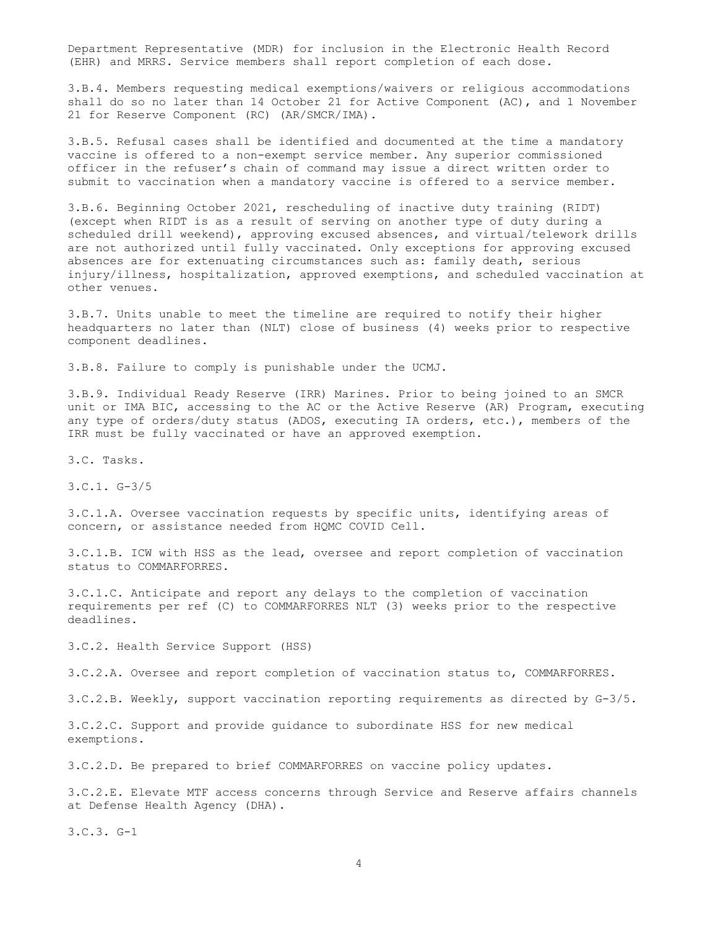Department Representative (MDR) for inclusion in the Electronic Health Record (EHR) and MRRS. Service members shall report completion of each dose.

3.B.4. Members requesting medical exemptions/waivers or religious accommodations shall do so no later than 14 October 21 for Active Component (AC), and 1 November 21 for Reserve Component (RC) (AR/SMCR/IMA).

3.B.5. Refusal cases shall be identified and documented at the time a mandatory vaccine is offered to a non-exempt service member. Any superior commissioned officer in the refuser's chain of command may issue a direct written order to submit to vaccination when a mandatory vaccine is offered to a service member.

3.B.6. Beginning October 2021, rescheduling of inactive duty training (RIDT) (except when RIDT is as a result of serving on another type of duty during a scheduled drill weekend), approving excused absences, and virtual/telework drills are not authorized until fully vaccinated. Only exceptions for approving excused absences are for extenuating circumstances such as: family death, serious injury/illness, hospitalization, approved exemptions, and scheduled vaccination at other venues.

3.B.7. Units unable to meet the timeline are required to notify their higher headquarters no later than (NLT) close of business (4) weeks prior to respective component deadlines.

3.B.8. Failure to comply is punishable under the UCMJ.

3.B.9. Individual Ready Reserve (IRR) Marines. Prior to being joined to an SMCR unit or IMA BIC, accessing to the AC or the Active Reserve (AR) Program, executing any type of orders/duty status (ADOS, executing IA orders, etc.), members of the IRR must be fully vaccinated or have an approved exemption.

3.C. Tasks.

3.C.1. G-3/5

3.C.1.A. Oversee vaccination requests by specific units, identifying areas of concern, or assistance needed from HQMC COVID Cell.

3.C.1.B. ICW with HSS as the lead, oversee and report completion of vaccination status to COMMARFORRES.

3.C.1.C. Anticipate and report any delays to the completion of vaccination requirements per ref (C) to COMMARFORRES NLT (3) weeks prior to the respective deadlines.

3.C.2. Health Service Support (HSS)

3.C.2.A. Oversee and report completion of vaccination status to, COMMARFORRES.

3.C.2.B. Weekly, support vaccination reporting requirements as directed by G-3/5.

3.C.2.C. Support and provide guidance to subordinate HSS for new medical exemptions.

3.C.2.D. Be prepared to brief COMMARFORRES on vaccine policy updates.

3.C.2.E. Elevate MTF access concerns through Service and Reserve affairs channels at Defense Health Agency (DHA).

3.C.3. G-1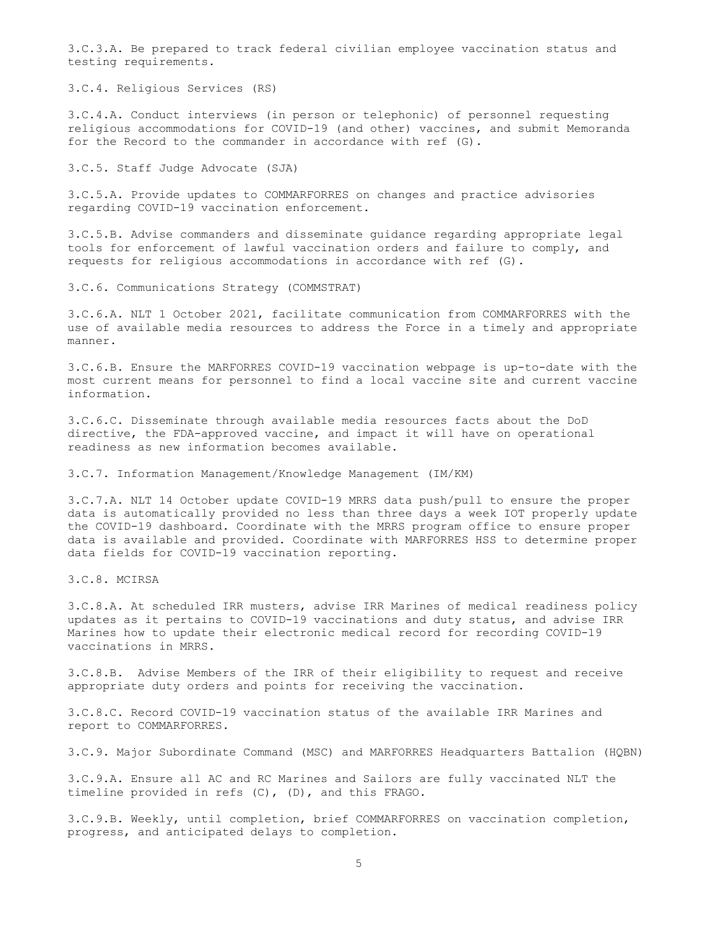3.C.3.A. Be prepared to track federal civilian employee vaccination status and testing requirements.

3.C.4. Religious Services (RS)

3.C.4.A. Conduct interviews (in person or telephonic) of personnel requesting religious accommodations for COVID-19 (and other) vaccines, and submit Memoranda for the Record to the commander in accordance with ref (G).

3.C.5. Staff Judge Advocate (SJA)

3.C.5.A. Provide updates to COMMARFORRES on changes and practice advisories regarding COVID-19 vaccination enforcement.

3.C.5.B. Advise commanders and disseminate guidance regarding appropriate legal tools for enforcement of lawful vaccination orders and failure to comply, and requests for religious accommodations in accordance with ref (G).

3.C.6. Communications Strategy (COMMSTRAT)

3.C.6.A. NLT 1 October 2021, facilitate communication from COMMARFORRES with the use of available media resources to address the Force in a timely and appropriate manner.

3.C.6.B. Ensure the MARFORRES COVID-19 vaccination webpage is up-to-date with the most current means for personnel to find a local vaccine site and current vaccine information.

3.C.6.C. Disseminate through available media resources facts about the DoD directive, the FDA-approved vaccine, and impact it will have on operational readiness as new information becomes available.

3.C.7. Information Management/Knowledge Management (IM/KM)

3.C.7.A. NLT 14 October update COVID-19 MRRS data push/pull to ensure the proper data is automatically provided no less than three days a week IOT properly update the COVID-19 dashboard. Coordinate with the MRRS program office to ensure proper data is available and provided. Coordinate with MARFORRES HSS to determine proper data fields for COVID-19 vaccination reporting.

3.C.8. MCIRSA

3.C.8.A. At scheduled IRR musters, advise IRR Marines of medical readiness policy updates as it pertains to COVID-19 vaccinations and duty status, and advise IRR Marines how to update their electronic medical record for recording COVID-19 vaccinations in MRRS.

3.C.8.B. Advise Members of the IRR of their eligibility to request and receive appropriate duty orders and points for receiving the vaccination.

3.C.8.C. Record COVID-19 vaccination status of the available IRR Marines and report to COMMARFORRES.

3.C.9. Major Subordinate Command (MSC) and MARFORRES Headquarters Battalion (HQBN)

3.C.9.A. Ensure all AC and RC Marines and Sailors are fully vaccinated NLT the timeline provided in refs (C), (D), and this FRAGO.

3.C.9.B. Weekly, until completion, brief COMMARFORRES on vaccination completion, progress, and anticipated delays to completion.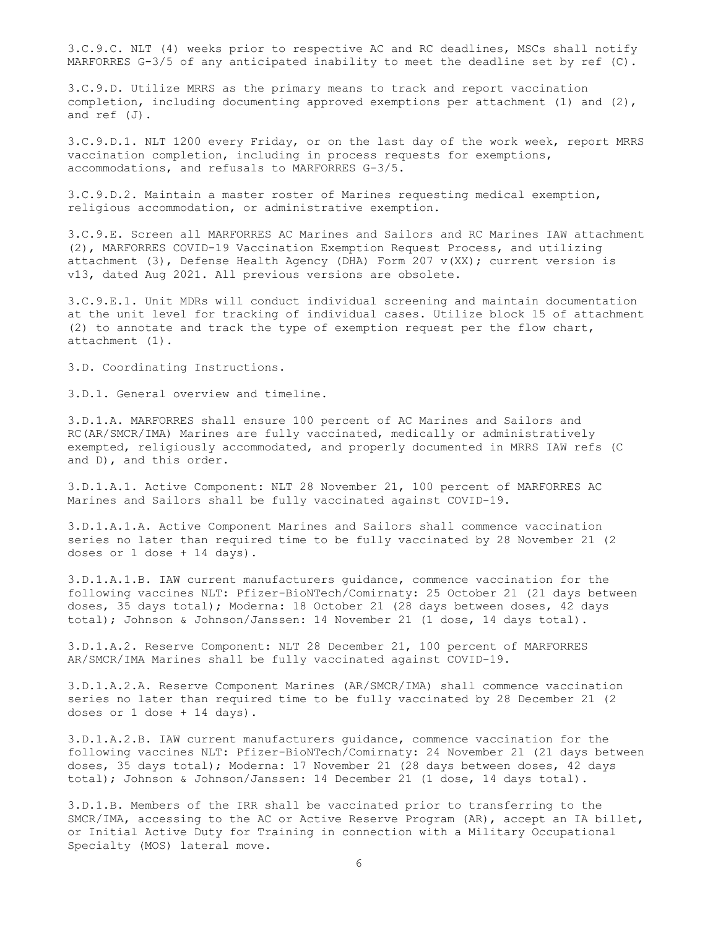3.C.9.C. NLT (4) weeks prior to respective AC and RC deadlines, MSCs shall notify MARFORRES G-3/5 of any anticipated inability to meet the deadline set by ref (C).

3.C.9.D. Utilize MRRS as the primary means to track and report vaccination completion, including documenting approved exemptions per attachment (1) and (2), and ref (J).

3.C.9.D.1. NLT 1200 every Friday, or on the last day of the work week, report MRRS vaccination completion, including in process requests for exemptions, accommodations, and refusals to MARFORRES G-3/5.

3.C.9.D.2. Maintain a master roster of Marines requesting medical exemption, religious accommodation, or administrative exemption.

3.C.9.E. Screen all MARFORRES AC Marines and Sailors and RC Marines IAW attachment (2), MARFORRES COVID-19 Vaccination Exemption Request Process, and utilizing attachment (3), Defense Health Agency (DHA) Form 207  $v(XX)$ ; current version is v13, dated Aug 2021. All previous versions are obsolete.

3.C.9.E.1. Unit MDRs will conduct individual screening and maintain documentation at the unit level for tracking of individual cases. Utilize block 15 of attachment (2) to annotate and track the type of exemption request per the flow chart, attachment (1).

3.D. Coordinating Instructions.

3.D.1. General overview and timeline.

3.D.1.A. MARFORRES shall ensure 100 percent of AC Marines and Sailors and RC(AR/SMCR/IMA) Marines are fully vaccinated, medically or administratively exempted, religiously accommodated, and properly documented in MRRS IAW refs (C and D), and this order.

3.D.1.A.1. Active Component: NLT 28 November 21, 100 percent of MARFORRES AC Marines and Sailors shall be fully vaccinated against COVID-19.

3.D.1.A.1.A. Active Component Marines and Sailors shall commence vaccination series no later than required time to be fully vaccinated by 28 November 21 (2 doses or  $1$  dose  $+$   $14$  days).

3.D.1.A.1.B. IAW current manufacturers guidance, commence vaccination for the following vaccines NLT: Pfizer-BioNTech/Comirnaty: 25 October 21 (21 days between doses, 35 days total); Moderna: 18 October 21 (28 days between doses, 42 days total); Johnson & Johnson/Janssen: 14 November 21 (1 dose, 14 days total).

3.D.1.A.2. Reserve Component: NLT 28 December 21, 100 percent of MARFORRES AR/SMCR/IMA Marines shall be fully vaccinated against COVID-19.

3.D.1.A.2.A. Reserve Component Marines (AR/SMCR/IMA) shall commence vaccination series no later than required time to be fully vaccinated by 28 December 21 (2 doses or 1 dose + 14 days).

3.D.1.A.2.B. IAW current manufacturers guidance, commence vaccination for the following vaccines NLT: Pfizer-BioNTech/Comirnaty: 24 November 21 (21 days between doses, 35 days total); Moderna: 17 November 21 (28 days between doses, 42 days total); Johnson & Johnson/Janssen: 14 December 21 (1 dose, 14 days total).

3.D.1.B. Members of the IRR shall be vaccinated prior to transferring to the SMCR/IMA, accessing to the AC or Active Reserve Program (AR), accept an IA billet, or Initial Active Duty for Training in connection with a Military Occupational Specialty (MOS) lateral move.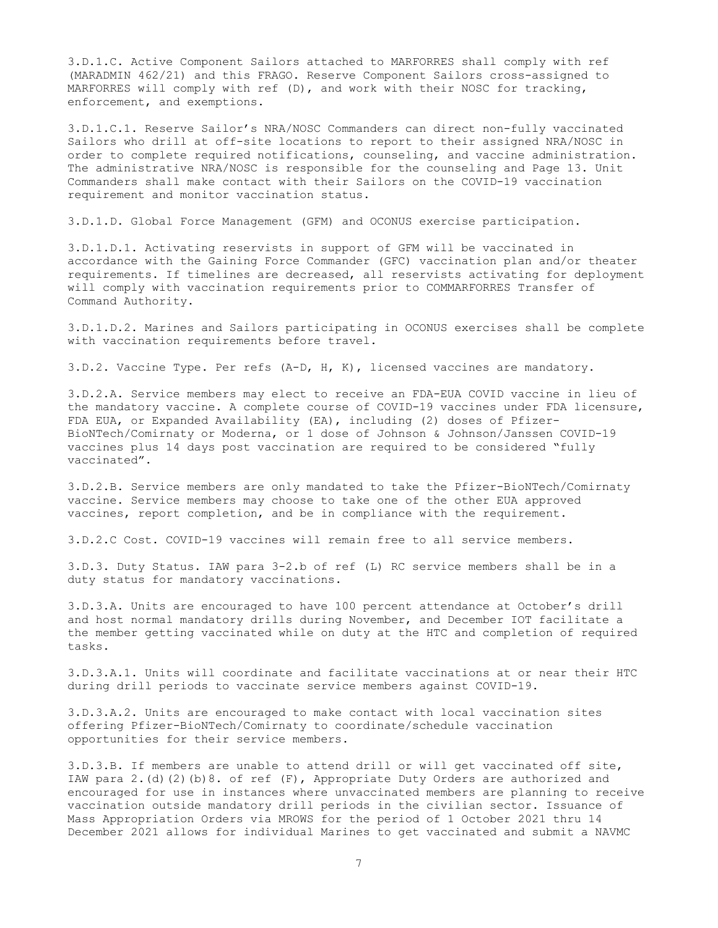3.D.1.C. Active Component Sailors attached to MARFORRES shall comply with ref (MARADMIN 462/21) and this FRAGO. Reserve Component Sailors cross-assigned to MARFORRES will comply with ref (D), and work with their NOSC for tracking, enforcement, and exemptions.

3.D.1.C.1. Reserve Sailor's NRA/NOSC Commanders can direct non-fully vaccinated Sailors who drill at off-site locations to report to their assigned NRA/NOSC in order to complete required notifications, counseling, and vaccine administration. The administrative NRA/NOSC is responsible for the counseling and Page 13. Unit Commanders shall make contact with their Sailors on the COVID-19 vaccination requirement and monitor vaccination status.

3.D.1.D. Global Force Management (GFM) and OCONUS exercise participation.

3.D.1.D.1. Activating reservists in support of GFM will be vaccinated in accordance with the Gaining Force Commander (GFC) vaccination plan and/or theater requirements. If timelines are decreased, all reservists activating for deployment will comply with vaccination requirements prior to COMMARFORRES Transfer of Command Authority.

3.D.1.D.2. Marines and Sailors participating in OCONUS exercises shall be complete with vaccination requirements before travel.

3.D.2. Vaccine Type. Per refs (A-D, H, K), licensed vaccines are mandatory.

3.D.2.A. Service members may elect to receive an FDA-EUA COVID vaccine in lieu of the mandatory vaccine. A complete course of COVID-19 vaccines under FDA licensure, FDA EUA, or Expanded Availability (EA), including (2) doses of Pfizer-BioNTech/Comirnaty or Moderna, or 1 dose of Johnson & Johnson/Janssen COVID-19 vaccines plus 14 days post vaccination are required to be considered "fully vaccinated".

3.D.2.B. Service members are only mandated to take the Pfizer-BioNTech/Comirnaty vaccine. Service members may choose to take one of the other EUA approved vaccines, report completion, and be in compliance with the requirement.

3.D.2.C Cost. COVID-19 vaccines will remain free to all service members.

3.D.3. Duty Status. IAW para 3-2.b of ref (L) RC service members shall be in a duty status for mandatory vaccinations.

3.D.3.A. Units are encouraged to have 100 percent attendance at October's drill and host normal mandatory drills during November, and December IOT facilitate a the member getting vaccinated while on duty at the HTC and completion of required tasks.

3.D.3.A.1. Units will coordinate and facilitate vaccinations at or near their HTC during drill periods to vaccinate service members against COVID-19.

3.D.3.A.2. Units are encouraged to make contact with local vaccination sites offering Pfizer-BioNTech/Comirnaty to coordinate/schedule vaccination opportunities for their service members.

3.D.3.B. If members are unable to attend drill or will get vaccinated off site, IAW para  $2.(d)(2)(b)8.$  of ref  $(F)$ , Appropriate Duty Orders are authorized and encouraged for use in instances where unvaccinated members are planning to receive vaccination outside mandatory drill periods in the civilian sector. Issuance of Mass Appropriation Orders via MROWS for the period of 1 October 2021 thru 14 December 2021 allows for individual Marines to get vaccinated and submit a NAVMC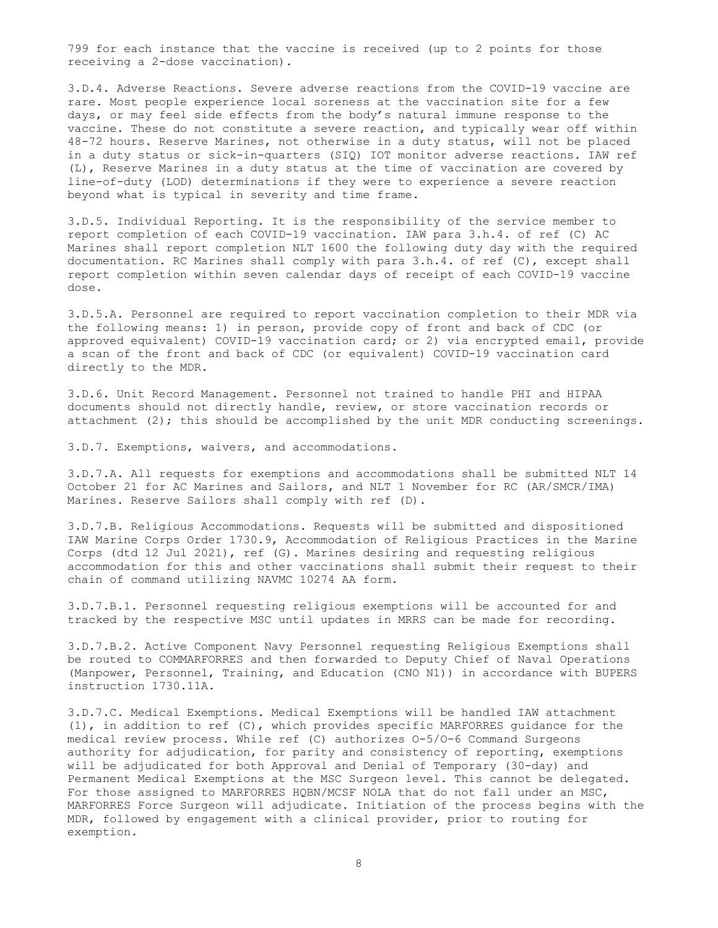799 for each instance that the vaccine is received (up to 2 points for those receiving a 2-dose vaccination).

3.D.4. Adverse Reactions. Severe adverse reactions from the COVID-19 vaccine are rare. Most people experience local soreness at the vaccination site for a few days, or may feel side effects from the body's natural immune response to the vaccine. These do not constitute a severe reaction, and typically wear off within 48-72 hours. Reserve Marines, not otherwise in a duty status, will not be placed in a duty status or sick-in-quarters (SIQ) IOT monitor adverse reactions. IAW ref (L), Reserve Marines in a duty status at the time of vaccination are covered by line-of-duty (LOD) determinations if they were to experience a severe reaction beyond what is typical in severity and time frame.

3.D.5. Individual Reporting. It is the responsibility of the service member to report completion of each COVID-19 vaccination. IAW para 3.h.4. of ref (C) AC Marines shall report completion NLT 1600 the following duty day with the required documentation. RC Marines shall comply with para 3.h.4. of ref (C), except shall report completion within seven calendar days of receipt of each COVID-19 vaccine dose.

3.D.5.A. Personnel are required to report vaccination completion to their MDR via the following means: 1) in person, provide copy of front and back of CDC (or approved equivalent) COVID-19 vaccination card; or 2) via encrypted email, provide a scan of the front and back of CDC (or equivalent) COVID-19 vaccination card directly to the MDR.

3.D.6. Unit Record Management. Personnel not trained to handle PHI and HIPAA documents should not directly handle, review, or store vaccination records or attachment (2); this should be accomplished by the unit MDR conducting screenings.

3.D.7. Exemptions, waivers, and accommodations.

3.D.7.A. All requests for exemptions and accommodations shall be submitted NLT 14 October 21 for AC Marines and Sailors, and NLT 1 November for RC (AR/SMCR/IMA) Marines. Reserve Sailors shall comply with ref (D).

3.D.7.B. Religious Accommodations. Requests will be submitted and dispositioned IAW Marine Corps Order 1730.9, Accommodation of Religious Practices in the Marine Corps (dtd 12 Jul 2021), ref (G). Marines desiring and requesting religious accommodation for this and other vaccinations shall submit their request to their chain of command utilizing NAVMC 10274 AA form.

3.D.7.B.1. Personnel requesting religious exemptions will be accounted for and tracked by the respective MSC until updates in MRRS can be made for recording.

3.D.7.B.2. Active Component Navy Personnel requesting Religious Exemptions shall be routed to COMMARFORRES and then forwarded to Deputy Chief of Naval Operations (Manpower, Personnel, Training, and Education (CNO N1)) in accordance with BUPERS instruction 1730.11A.

3.D.7.C. Medical Exemptions. Medical Exemptions will be handled IAW attachment (1), in addition to ref (C), which provides specific MARFORRES guidance for the medical review process. While ref (C) authorizes O-5/O-6 Command Surgeons authority for adjudication, for parity and consistency of reporting, exemptions will be adjudicated for both Approval and Denial of Temporary (30-day) and Permanent Medical Exemptions at the MSC Surgeon level. This cannot be delegated. For those assigned to MARFORRES HQBN/MCSF NOLA that do not fall under an MSC, MARFORRES Force Surgeon will adjudicate. Initiation of the process begins with the MDR, followed by engagement with a clinical provider, prior to routing for exemption.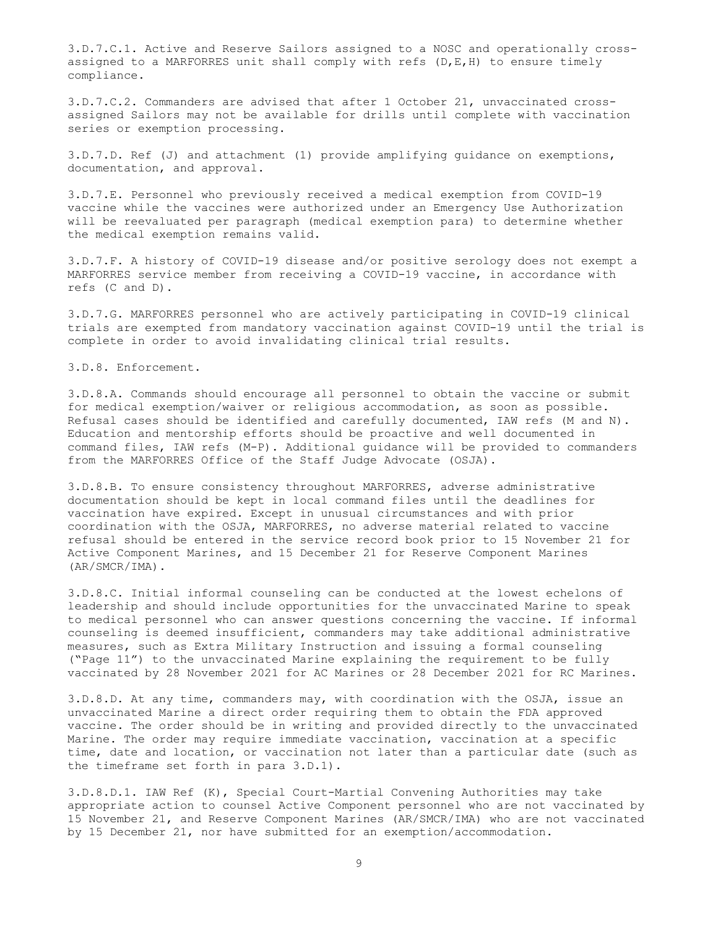3.D.7.C.1. Active and Reserve Sailors assigned to a NOSC and operationally crossassigned to a MARFORRES unit shall comply with refs (D,E,H) to ensure timely compliance.

3.D.7.C.2. Commanders are advised that after 1 October 21, unvaccinated crossassigned Sailors may not be available for drills until complete with vaccination series or exemption processing.

3.D.7.D. Ref (J) and attachment (1) provide amplifying guidance on exemptions, documentation, and approval.

3.D.7.E. Personnel who previously received a medical exemption from COVID-19 vaccine while the vaccines were authorized under an Emergency Use Authorization will be reevaluated per paragraph (medical exemption para) to determine whether the medical exemption remains valid.

3.D.7.F. A history of COVID-19 disease and/or positive serology does not exempt a MARFORRES service member from receiving a COVID-19 vaccine, in accordance with refs (C and D).

3.D.7.G. MARFORRES personnel who are actively participating in COVID-19 clinical trials are exempted from mandatory vaccination against COVID-19 until the trial is complete in order to avoid invalidating clinical trial results.

3.D.8. Enforcement.

3.D.8.A. Commands should encourage all personnel to obtain the vaccine or submit for medical exemption/waiver or religious accommodation, as soon as possible. Refusal cases should be identified and carefully documented, IAW refs (M and N). Education and mentorship efforts should be proactive and well documented in command files, IAW refs (M-P). Additional guidance will be provided to commanders from the MARFORRES Office of the Staff Judge Advocate (OSJA).

3.D.8.B. To ensure consistency throughout MARFORRES, adverse administrative documentation should be kept in local command files until the deadlines for vaccination have expired. Except in unusual circumstances and with prior coordination with the OSJA, MARFORRES, no adverse material related to vaccine refusal should be entered in the service record book prior to 15 November 21 for Active Component Marines, and 15 December 21 for Reserve Component Marines (AR/SMCR/IMA).

3.D.8.C. Initial informal counseling can be conducted at the lowest echelons of leadership and should include opportunities for the unvaccinated Marine to speak to medical personnel who can answer questions concerning the vaccine. If informal counseling is deemed insufficient, commanders may take additional administrative measures, such as Extra Military Instruction and issuing a formal counseling ("Page 11") to the unvaccinated Marine explaining the requirement to be fully vaccinated by 28 November 2021 for AC Marines or 28 December 2021 for RC Marines.

3.D.8.D. At any time, commanders may, with coordination with the OSJA, issue an unvaccinated Marine a direct order requiring them to obtain the FDA approved vaccine. The order should be in writing and provided directly to the unvaccinated Marine. The order may require immediate vaccination, vaccination at a specific time, date and location, or vaccination not later than a particular date (such as the timeframe set forth in para 3.D.1).

3.D.8.D.1. IAW Ref (K), Special Court-Martial Convening Authorities may take appropriate action to counsel Active Component personnel who are not vaccinated by 15 November 21, and Reserve Component Marines (AR/SMCR/IMA) who are not vaccinated by 15 December 21, nor have submitted for an exemption/accommodation.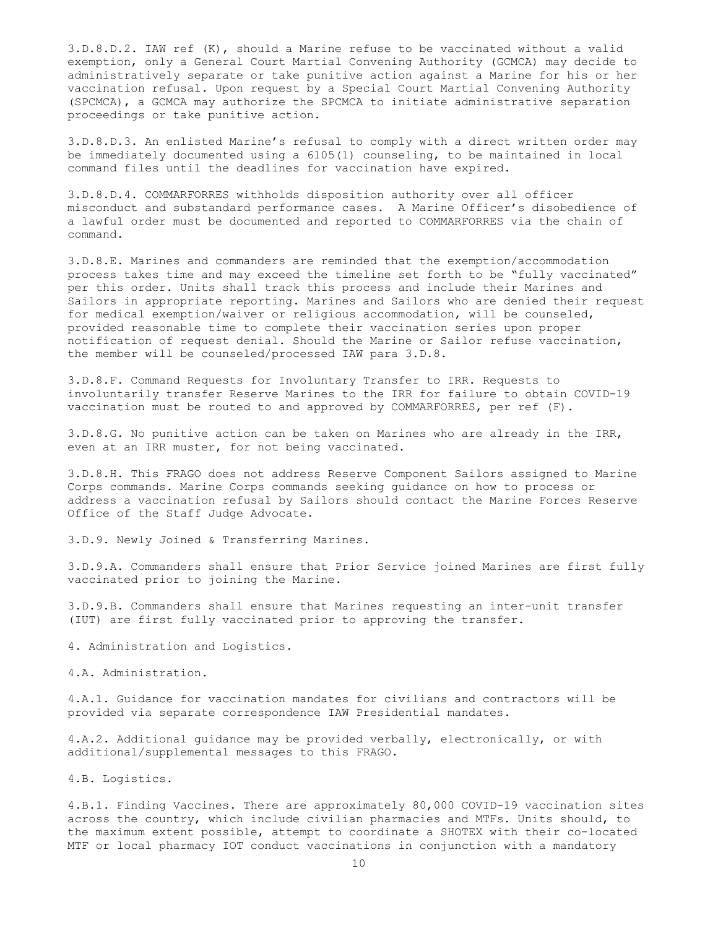3.D.8.D.2. IAW ref (K), should a Marine refuse to be vaccinated without a valid exemption, only a General Court Martial Convening Authority (GCMCA) may decide to administratively separate or take punitive action against a Marine for his or her vaccination refusal. Upon request by a Special Court Martial Convening Authority (SPCMCA), a GCMCA may authorize the SPCMCA to initiate administrative separation proceedings or take punitive action.

3.D.8.D.3. An enlisted Marine's refusal to comply with a direct written order may be immediately documented using a 6105(1) counseling, to be maintained in local command files until the deadlines for vaccination have expired.

3.D.8.D.4. COMMARFORRES withholds disposition authority over all officer misconduct and substandard performance cases. A Marine Officer's disobedience of a lawful order must be documented and reported to COMMARFORRES via the chain of command.

3.D.8.E. Marines and commanders are reminded that the exemption/accommodation process takes time and may exceed the timeline set forth to be "fully vaccinated" per this order. Units shall track this process and include their Marines and Sailors in appropriate reporting. Marines and Sailors who are denied their request for medical exemption/waiver or religious accommodation, will be counseled, provided reasonable time to complete their vaccination series upon proper notification of request denial. Should the Marine or Sailor refuse vaccination, the member will be counseled/processed IAW para 3.D.8.

3.D.8.F. Command Requests for Involuntary Transfer to IRR. Requests to involuntarily transfer Reserve Marines to the IRR for failure to obtain COVID-19 vaccination must be routed to and approved by COMMARFORRES, per ref (F).

3.D.8.G. No punitive action can be taken on Marines who are already in the IRR, even at an IRR muster, for not being vaccinated.

3.D.8.H. This FRAGO does not address Reserve Component Sailors assigned to Marine Corps commands. Marine Corps commands seeking guidance on how to process or address a vaccination refusal by Sailors should contact the Marine Forces Reserve Office of the Staff Judge Advocate.

3.D.9. Newly Joined & Transferring Marines.

3.D.9.A. Commanders shall ensure that Prior Service joined Marines are first fully vaccinated prior to joining the Marine.

3.D.9.B. Commanders shall ensure that Marines requesting an inter-unit transfer (IUT) are first fully vaccinated prior to approving the transfer.

4. Administration and Logistics.

4.A. Administration.

4.A.1. Guidance for vaccination mandates for civilians and contractors will be provided via separate correspondence IAW Presidential mandates.

4.A.2. Additional guidance may be provided verbally, electronically, or with additional/supplemental messages to this FRAGO.

4.B. Logistics.

4.B.1. Finding Vaccines. There are approximately 80,000 COVID-19 vaccination sites across the country, which include civilian pharmacies and MTFs. Units should, to the maximum extent possible, attempt to coordinate a SHOTEX with their co-located MTF or local pharmacy IOT conduct vaccinations in conjunction with a mandatory